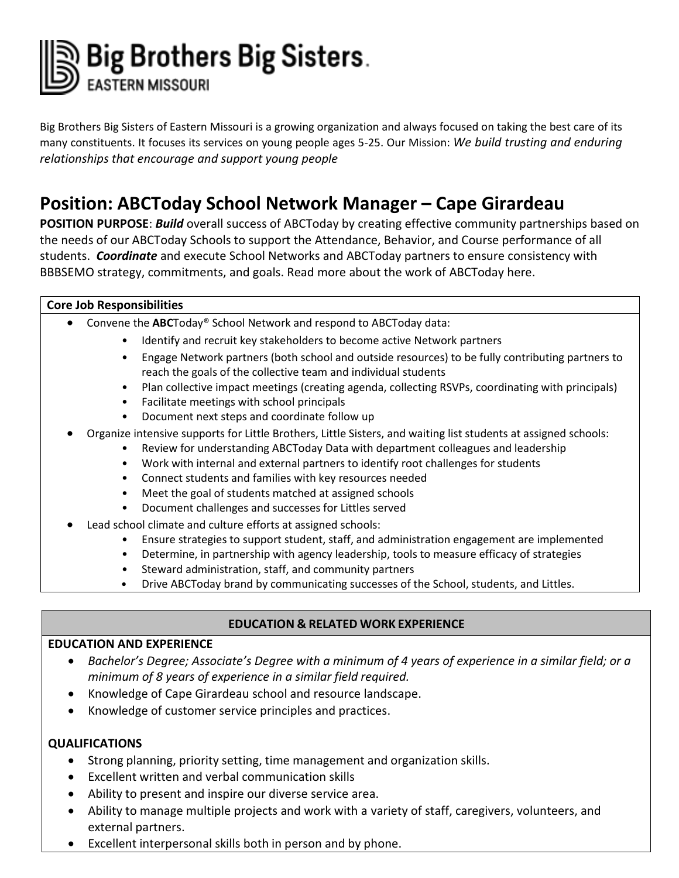

Big Brothers Big Sisters of Eastern Missouri is a growing organization and always focused on taking the best care of its many constituents. It focuses its services on young people ages 5-25. Our Mission: *We build trusting and enduring relationships that encourage and support young people*

# **Position: ABCToday School Network Manager – Cape Girardeau**

**POSITION PURPOSE**: *Build* overall success of ABCToday by creating effective community partnerships based on the needs of our ABCToday Schools to support the Attendance, Behavior, and Course performance of all students. *Coordinate* and execute School Networks and ABCToday partners to ensure consistency with BBBSEMO strategy, commitments, and goals. Read more about the work of ABCToday here.

#### **Core Job Responsibilities**

- Convene the **ABC**Today® School Network and respond to ABCToday data:
	- Identify and recruit key stakeholders to become active Network partners
		- Engage Network partners (both school and outside resources) to be fully contributing partners to reach the goals of the collective team and individual students
		- Plan collective impact meetings (creating agenda, collecting RSVPs, coordinating with principals)
		- Facilitate meetings with school principals
	- Document next steps and coordinate follow up
- Organize intensive supports for Little Brothers, Little Sisters, and waiting list students at assigned schools:
	- Review for understanding ABCToday Data with department colleagues and leadership
	- Work with internal and external partners to identify root challenges for students
	- Connect students and families with key resources needed
	- Meet the goal of students matched at assigned schools
	- Document challenges and successes for Littles served
- Lead school climate and culture efforts at assigned schools:
	- Ensure strategies to support student, staff, and administration engagement are implemented
	- Determine, in partnership with agency leadership, tools to measure efficacy of strategies
	- Steward administration, staff, and community partners
	- Drive ABCToday brand by communicating successes of the School, students, and Littles.

# **EDUCATION & RELATED WORK EXPERIENCE**

## **EDUCATION AND EXPERIENCE**

- *Bachelor's Degree; Associate's Degree with a minimum of 4 years of experience in a similar field; or a minimum of 8 years of experience in a similar field required.*
- Knowledge of Cape Girardeau school and resource landscape.
- Knowledge of customer service principles and practices.

# **QUALIFICATIONS**

- Strong planning, priority setting, time management and organization skills.
- Excellent written and verbal communication skills
- Ability to present and inspire our diverse service area.
- Ability to manage multiple projects and work with a variety of staff, caregivers, volunteers, and external partners.
- Excellent interpersonal skills both in person and by phone.